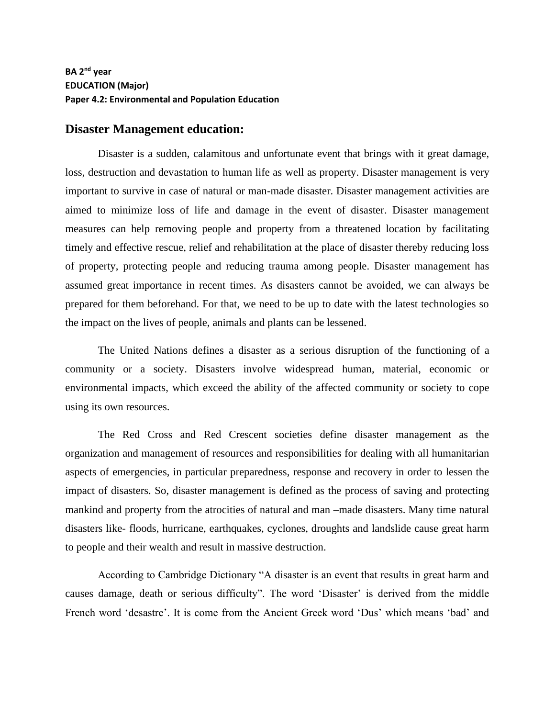## **BA 2nd year EDUCATION (Major) Paper 4.2: Environmental and Population Education**

## **Disaster Management education:**

Disaster is a sudden, calamitous and unfortunate event that brings with it great damage, loss, destruction and devastation to human life as well as property. Disaster management is very important to survive in case of natural or man-made disaster. Disaster management activities are aimed to minimize loss of life and damage in the event of disaster. Disaster management measures can help removing people and property from a threatened location by facilitating timely and effective rescue, relief and rehabilitation at the place of disaster thereby reducing loss of property, protecting people and reducing trauma among people. Disaster management has assumed great importance in recent times. As disasters cannot be avoided, we can always be prepared for them beforehand. For that, we need to be up to date with the latest technologies so the impact on the lives of people, animals and plants can be lessened.

The United Nations defines a disaster as a serious disruption of the functioning of a community or a society. Disasters involve widespread human, material, economic or environmental impacts, which exceed the ability of the affected community or society to cope using its own resources.

The Red Cross and Red Crescent societies define disaster management as the organization and management of resources and responsibilities for dealing with all humanitarian aspects of emergencies, in particular preparedness, response and recovery in order to lessen the impact of disasters. So, disaster management is defined as the process of saving and protecting mankind and property from the atrocities of natural and man –made disasters. Many time natural disasters like- floods, hurricane, earthquakes, cyclones, droughts and landslide cause great harm to people and their wealth and result in massive destruction.

According to Cambridge Dictionary "A disaster is an event that results in great harm and causes damage, death or serious difficulty". The word 'Disaster' is derived from the middle French word 'desastre'. It is come from the Ancient Greek word 'Dus' which means 'bad' and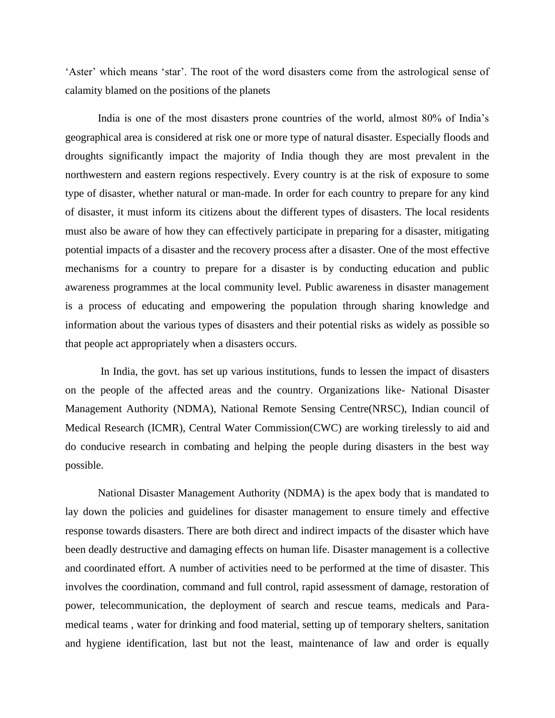'Aster' which means 'star'. The root of the word disasters come from the astrological sense of calamity blamed on the positions of the planets

India is one of the most disasters prone countries of the world, almost 80% of India's geographical area is considered at risk one or more type of natural disaster. Especially floods and droughts significantly impact the majority of India though they are most prevalent in the northwestern and eastern regions respectively. Every country is at the risk of exposure to some type of disaster, whether natural or man-made. In order for each country to prepare for any kind of disaster, it must inform its citizens about the different types of disasters. The local residents must also be aware of how they can effectively participate in preparing for a disaster, mitigating potential impacts of a disaster and the recovery process after a disaster. One of the most effective mechanisms for a country to prepare for a disaster is by conducting education and public awareness programmes at the local community level. Public awareness in disaster management is a process of educating and empowering the population through sharing knowledge and information about the various types of disasters and their potential risks as widely as possible so that people act appropriately when a disasters occurs.

In India, the govt. has set up various institutions, funds to lessen the impact of disasters on the people of the affected areas and the country. Organizations like- National Disaster Management Authority (NDMA), National Remote Sensing Centre(NRSC), Indian council of Medical Research (ICMR), Central Water Commission(CWC) are working tirelessly to aid and do conducive research in combating and helping the people during disasters in the best way possible.

National Disaster Management Authority (NDMA) is the apex body that is mandated to lay down the policies and guidelines for disaster management to ensure timely and effective response towards disasters. There are both direct and indirect impacts of the disaster which have been deadly destructive and damaging effects on human life. Disaster management is a collective and coordinated effort. A number of activities need to be performed at the time of disaster. This involves the coordination, command and full control, rapid assessment of damage, restoration of power, telecommunication, the deployment of search and rescue teams, medicals and Paramedical teams , water for drinking and food material, setting up of temporary shelters, sanitation and hygiene identification, last but not the least, maintenance of law and order is equally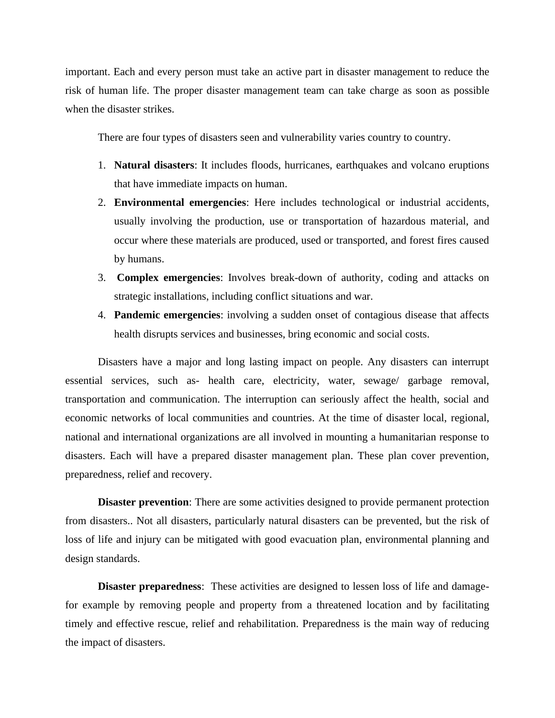important. Each and every person must take an active part in disaster management to reduce the risk of human life. The proper disaster management team can take charge as soon as possible when the disaster strikes.

There are four types of disasters seen and vulnerability varies country to country.

- 1. **Natural disasters**: It includes floods, hurricanes, earthquakes and volcano eruptions that have immediate impacts on human.
- 2. **Environmental emergencies**: Here includes technological or industrial accidents, usually involving the production, use or transportation of hazardous material, and occur where these materials are produced, used or transported, and forest fires caused by humans.
- 3. **Complex emergencies**: Involves break-down of authority, coding and attacks on strategic installations, including conflict situations and war.
- 4. **Pandemic emergencies**: involving a sudden onset of contagious disease that affects health disrupts services and businesses, bring economic and social costs.

Disasters have a major and long lasting impact on people. Any disasters can interrupt essential services, such as- health care, electricity, water, sewage/ garbage removal, transportation and communication. The interruption can seriously affect the health, social and economic networks of local communities and countries. At the time of disaster local, regional, national and international organizations are all involved in mounting a humanitarian response to disasters. Each will have a prepared disaster management plan. These plan cover prevention, preparedness, relief and recovery.

**Disaster prevention**: There are some activities designed to provide permanent protection from disasters.. Not all disasters, particularly natural disasters can be prevented, but the risk of loss of life and injury can be mitigated with good evacuation plan, environmental planning and design standards.

**Disaster preparedness**: These activities are designed to lessen loss of life and damagefor example by removing people and property from a threatened location and by facilitating timely and effective rescue, relief and rehabilitation. Preparedness is the main way of reducing the impact of disasters.